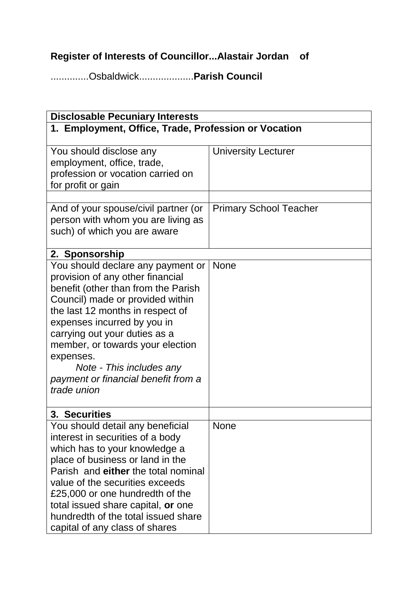## **Register of Interests of Councillor...Alastair Jordan of**

..............Osbaldwick....................**Parish Council**

| <b>Disclosable Pecuniary Interests</b>                                                                                                                                                                                                                                                                                                                                                  |                               |  |
|-----------------------------------------------------------------------------------------------------------------------------------------------------------------------------------------------------------------------------------------------------------------------------------------------------------------------------------------------------------------------------------------|-------------------------------|--|
| 1. Employment, Office, Trade, Profession or Vocation                                                                                                                                                                                                                                                                                                                                    |                               |  |
| You should disclose any<br>employment, office, trade,<br>profession or vocation carried on<br>for profit or gain                                                                                                                                                                                                                                                                        | <b>University Lecturer</b>    |  |
| And of your spouse/civil partner (or<br>person with whom you are living as<br>such) of which you are aware                                                                                                                                                                                                                                                                              | <b>Primary School Teacher</b> |  |
| 2. Sponsorship                                                                                                                                                                                                                                                                                                                                                                          |                               |  |
| You should declare any payment or<br>provision of any other financial<br>benefit (other than from the Parish<br>Council) made or provided within<br>the last 12 months in respect of<br>expenses incurred by you in<br>carrying out your duties as a<br>member, or towards your election<br>expenses.<br>Note - This includes any<br>payment or financial benefit from a<br>trade union | <b>None</b>                   |  |
| 3. Securities                                                                                                                                                                                                                                                                                                                                                                           |                               |  |
| You should detail any beneficial<br>interest in securities of a body<br>which has to your knowledge a<br>place of business or land in the<br>Parish and either the total nominal<br>value of the securities exceeds<br>£25,000 or one hundredth of the<br>total issued share capital, or one<br>hundredth of the total issued share<br>capital of any class of shares                   | None                          |  |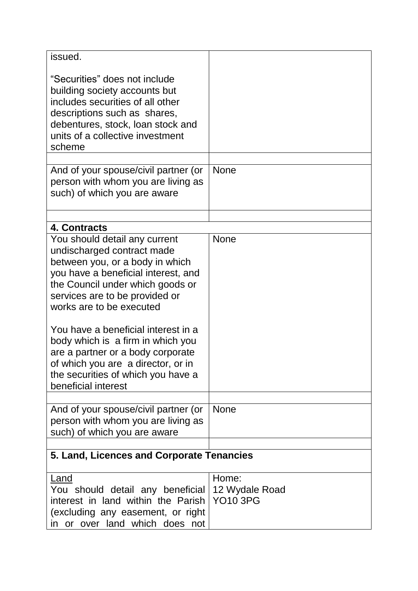| issued.                                                                                                                                                                                                                                                                                                                                                                                                                                                     |                                   |
|-------------------------------------------------------------------------------------------------------------------------------------------------------------------------------------------------------------------------------------------------------------------------------------------------------------------------------------------------------------------------------------------------------------------------------------------------------------|-----------------------------------|
| "Securities" does not include<br>building society accounts but<br>includes securities of all other<br>descriptions such as shares,<br>debentures, stock, loan stock and<br>units of a collective investment<br>scheme                                                                                                                                                                                                                                       |                                   |
|                                                                                                                                                                                                                                                                                                                                                                                                                                                             |                                   |
| And of your spouse/civil partner (or<br>person with whom you are living as<br>such) of which you are aware                                                                                                                                                                                                                                                                                                                                                  | <b>None</b>                       |
|                                                                                                                                                                                                                                                                                                                                                                                                                                                             |                                   |
| 4. Contracts                                                                                                                                                                                                                                                                                                                                                                                                                                                |                                   |
| You should detail any current<br>undischarged contract made<br>between you, or a body in which<br>you have a beneficial interest, and<br>the Council under which goods or<br>services are to be provided or<br>works are to be executed<br>You have a beneficial interest in a<br>body which is a firm in which you<br>are a partner or a body corporate<br>of which you are a director, or in<br>the securities of which you have a<br>beneficial interest | <b>None</b>                       |
|                                                                                                                                                                                                                                                                                                                                                                                                                                                             |                                   |
| And of your spouse/civil partner (or<br>person with whom you are living as<br>such) of which you are aware                                                                                                                                                                                                                                                                                                                                                  | <b>None</b>                       |
|                                                                                                                                                                                                                                                                                                                                                                                                                                                             |                                   |
| 5. Land, Licences and Corporate Tenancies                                                                                                                                                                                                                                                                                                                                                                                                                   |                                   |
| Land                                                                                                                                                                                                                                                                                                                                                                                                                                                        | Home:                             |
| You should detail any beneficial<br>interest in land within the Parish<br>(excluding any easement, or right<br>in or over land which does not                                                                                                                                                                                                                                                                                                               | 12 Wydale Road<br><b>YO10 3PG</b> |